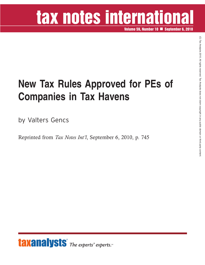## tax notes international

**Volume 59, Number 10 September 6, 2010**

## **New Tax Rules Approved for PEs of Companies in Tax Havens**

by Valters Gencs

Reprinted from *Tax Notes Int'l*, September 6, 2010, p. 745



 $\widehat{\Omega}$